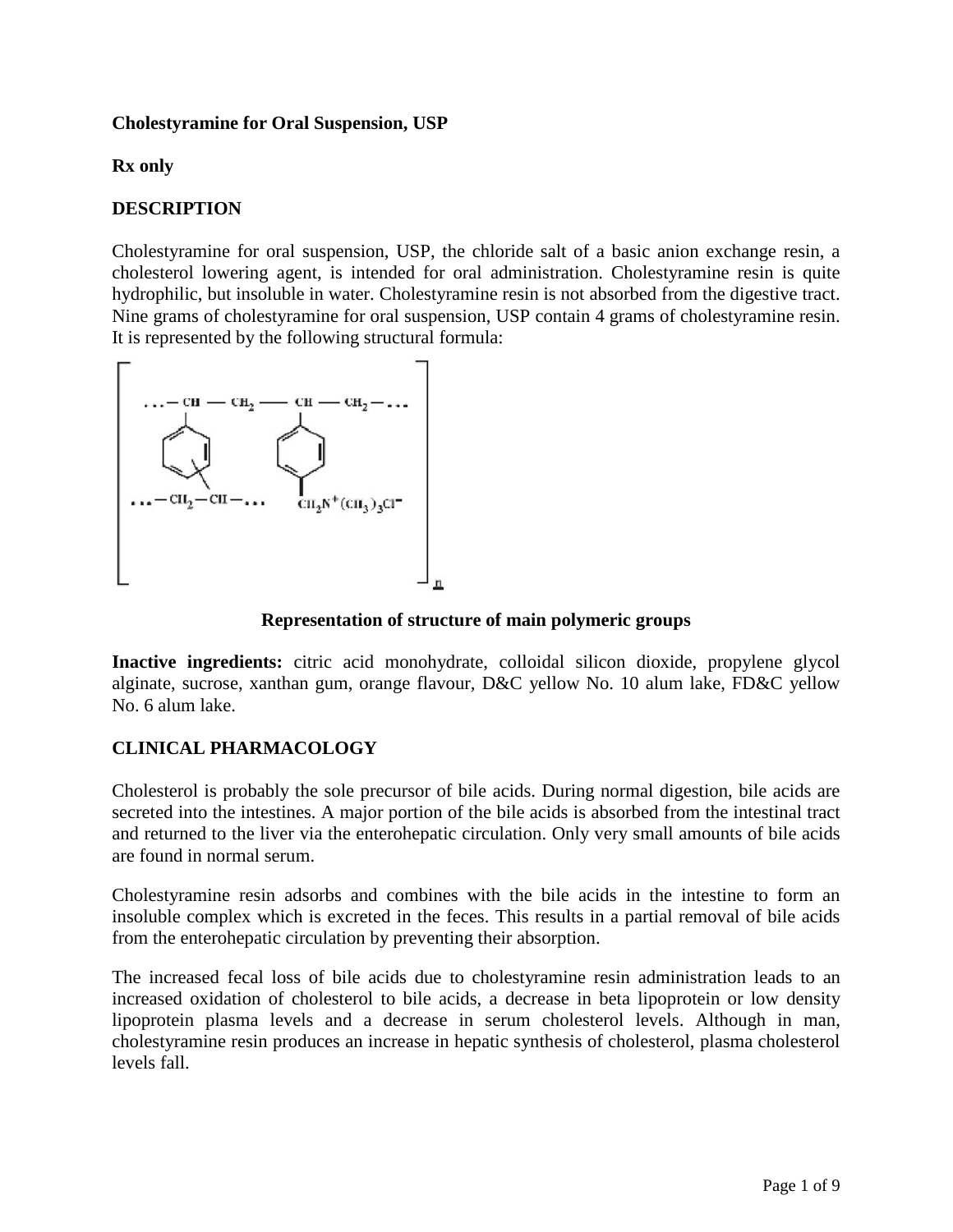## **Cholestyramine for Oral Suspension, USP**

## **Rx only**

# **DESCRIPTION**

Cholestyramine for oral suspension, USP, the chloride salt of a basic anion exchange resin, a cholesterol lowering agent, is intended for oral administration. Cholestyramine resin is quite hydrophilic, but insoluble in water. Cholestyramine resin is not absorbed from the digestive tract. Nine grams of cholestyramine for oral suspension, USP contain 4 grams of cholestyramine resin. It is represented by the following structural formula:



#### **Representation of structure of main polymeric groups**

**Inactive ingredients:** citric acid monohydrate, colloidal silicon dioxide, propylene glycol alginate, sucrose, xanthan gum, orange flavour, D&C yellow No. 10 alum lake, FD&C yellow No. 6 alum lake.

# **CLINICAL PHARMACOLOGY**

Cholesterol is probably the sole precursor of bile acids. During normal digestion, bile acids are secreted into the intestines. A major portion of the bile acids is absorbed from the intestinal tract and returned to the liver via the enterohepatic circulation. Only very small amounts of bile acids are found in normal serum.

Cholestyramine resin adsorbs and combines with the bile acids in the intestine to form an insoluble complex which is excreted in the feces. This results in a partial removal of bile acids from the enterohepatic circulation by preventing their absorption.

The increased fecal loss of bile acids due to cholestyramine resin administration leads to an increased oxidation of cholesterol to bile acids, a decrease in beta lipoprotein or low density lipoprotein plasma levels and a decrease in serum cholesterol levels. Although in man, cholestyramine resin produces an increase in hepatic synthesis of cholesterol, plasma cholesterol levels fall.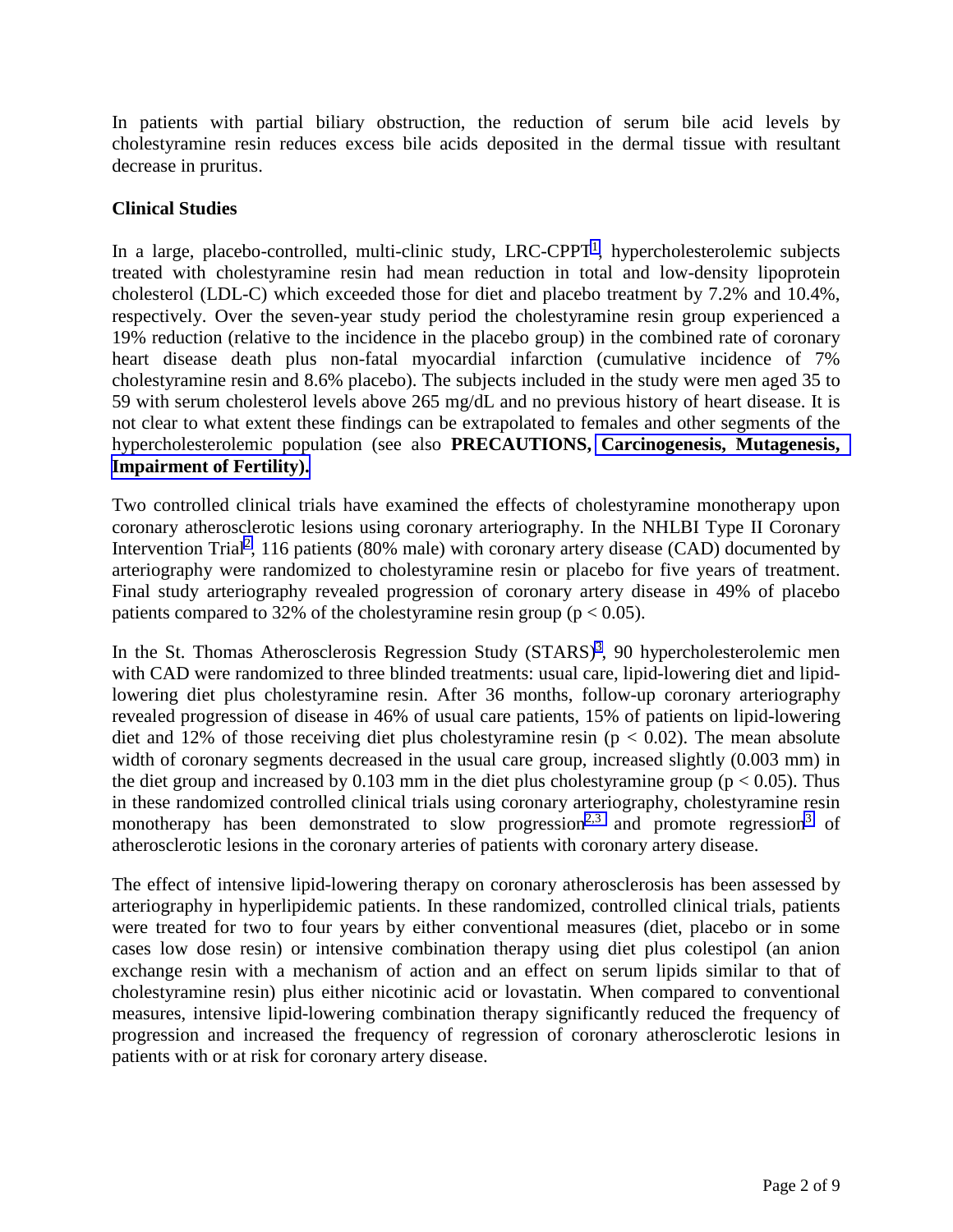In patients with partial biliary obstruction, the reduction of serum bile acid levels by cholestyramine resin reduces excess bile acids deposited in the dermal tissue with resultant decrease in pruritus.

# **Clinical Studies**

In a large, placebo-controlled, multi-clinic study,  $LRC-CPPT<sup>1</sup>$ , hypercholesterolemic subjects treated with cholestyramine resin had mean reduction in total and low-density lipoprotein cholesterol (LDL-C) which exceeded those for diet and placebo treatment by 7.2% and 10.4%, respectively. Over the seven-year study period the cholestyramine resin group experienced a 19% reduction (relative to the incidence in the placebo group) in the combined rate of coronary heart disease death plus non-fatal myocardial infarction (cumulative incidence of 7% cholestyramine resin and 8.6% placebo). The subjects included in the study were men aged 35 to 59 with serum cholesterol levels above 265 mg/dL and no previous history of heart disease. It is not clear to what extent these findings can be extrapolated to females and other segments of the hypercholesterolemic population (see also **PRECAUTIONS, [Carcinogenesis, Mutagenesis,](#page-4-0)  [Impairment of Fertility\).](#page-4-0)**

Two controlled clinical trials have examined the effects of cholestyramine monotherapy upon coronary atherosclerotic lesions using coronary arteriography. In the NHLBI Type II Coronary Intervention Trial<sup>[2](#page-8-0)</sup>, 116 patients (80% male) with coronary artery disease (CAD) documented by arteriography were randomized to cholestyramine resin or placebo for five years of treatment. Final study arteriography revealed progression of coronary artery disease in 49% of placebo patients compared to 32% of the cholestyramine resin group ( $p < 0.05$ ).

In the St. Thomas Atherosclerosis Regression Study (STARS)<sup>3</sup>, 90 hypercholesterolemic men with CAD were randomized to three blinded treatments: usual care, lipid-lowering diet and lipidlowering diet plus cholestyramine resin. After 36 months, follow-up coronary arteriography revealed progression of disease in 46% of usual care patients, 15% of patients on lipid-lowering diet and 12% of those receiving diet plus cholestyramine resin ( $p < 0.02$ ). The mean absolute width of coronary segments decreased in the usual care group, increased slightly (0.003 mm) in the diet group and increased by 0.103 mm in the diet plus cholestyramine group ( $p < 0.05$ ). Thus in these randomized controlled clinical trials using coronary arteriography, cholestyramine resin monotherapy has been demonstrated to slow progression<sup>2,3</sup> and promote regression<sup>3</sup> of atherosclerotic lesions in the coronary arteries of patients with coronary artery disease.

The effect of intensive lipid-lowering therapy on coronary atherosclerosis has been assessed by arteriography in hyperlipidemic patients. In these randomized, controlled clinical trials, patients were treated for two to four years by either conventional measures (diet, placebo or in some cases low dose resin) or intensive combination therapy using diet plus colestipol (an anion exchange resin with a mechanism of action and an effect on serum lipids similar to that of cholestyramine resin) plus either nicotinic acid or lovastatin. When compared to conventional measures, intensive lipid-lowering combination therapy significantly reduced the frequency of progression and increased the frequency of regression of coronary atherosclerotic lesions in patients with or at risk for coronary artery disease.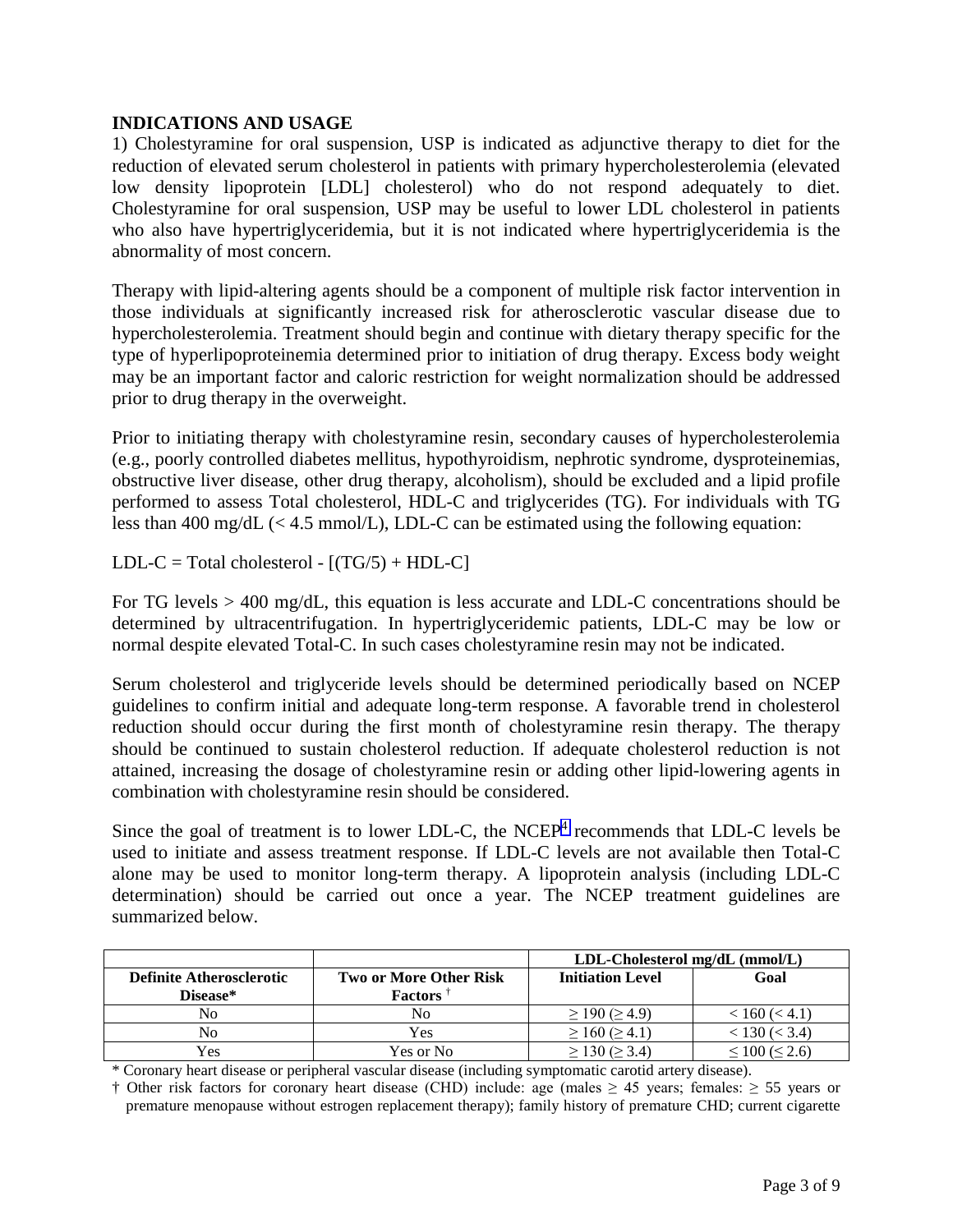#### **INDICATIONS AND USAGE**

1) Cholestyramine for oral suspension, USP is indicated as adjunctive therapy to diet for the reduction of elevated serum cholesterol in patients with primary hypercholesterolemia (elevated low density lipoprotein [LDL] cholesterol) who do not respond adequately to diet. Cholestyramine for oral suspension, USP may be useful to lower LDL cholesterol in patients who also have hypertriglyceridemia, but it is not indicated where hypertriglyceridemia is the abnormality of most concern.

Therapy with lipid-altering agents should be a component of multiple risk factor intervention in those individuals at significantly increased risk for atherosclerotic vascular disease due to hypercholesterolemia. Treatment should begin and continue with dietary therapy specific for the type of hyperlipoproteinemia determined prior to initiation of drug therapy. Excess body weight may be an important factor and caloric restriction for weight normalization should be addressed prior to drug therapy in the overweight.

Prior to initiating therapy with cholestyramine resin, secondary causes of hypercholesterolemia (e.g., poorly controlled diabetes mellitus, hypothyroidism, nephrotic syndrome, dysproteinemias, obstructive liver disease, other drug therapy, alcoholism), should be excluded and a lipid profile performed to assess Total cholesterol, HDL-C and triglycerides (TG). For individuals with TG less than 400 mg/dL (< 4.5 mmol/L), LDL-C can be estimated using the following equation:

LDL-C = Total cholesterol -  $[(TG/5) + HDL-C]$ 

For TG levels > 400 mg/dL, this equation is less accurate and LDL-C concentrations should be determined by ultracentrifugation. In hypertriglyceridemic patients, LDL-C may be low or normal despite elevated Total-C. In such cases cholestyramine resin may not be indicated.

Serum cholesterol and triglyceride levels should be determined periodically based on NCEP guidelines to confirm initial and adequate long-term response. A favorable trend in cholesterol reduction should occur during the first month of cholestyramine resin therapy. The therapy should be continued to sustain cholesterol reduction. If adequate cholesterol reduction is not attained, increasing the dosage of cholestyramine resin or adding other lipid-lowering agents in combination with cholestyramine resin should be considered.

Since the goal of treatment is to lower LDL-C, the NCEP<sup>[4](#page-8-0)</sup> recommends that LDL-C levels be used to initiate and assess treatment response. If LDL-C levels are not available then Total-C alone may be used to monitor long-term therapy. A lipoprotein analysis (including LDL-C determination) should be carried out once a year. The NCEP treatment guidelines are summarized below.

|                                 |                               | $LDL$ -Cholesterol mg/dL (mmol/L) |                     |
|---------------------------------|-------------------------------|-----------------------------------|---------------------|
| <b>Definite Atherosclerotic</b> | <b>Two or More Other Risk</b> | <b>Initiation Level</b>           | Goal                |
| Disease*                        | <b>Factors</b> <sup>†</sup>   |                                   |                     |
| No                              | No                            | $\geq$ 190 ( $\geq$ 4.9)          | < 160 (< 4.1)       |
| No                              | Yes                           | $\geq 160 \; (\geq 4.1)$          | $<$ 130 ( $<$ 3.4)  |
| Yes                             | Yes or No                     | $\geq$ 130 ( $\geq$ 3.4)          | $\leq 100 \leq 2.6$ |

\* Coronary heart disease or peripheral vascular disease (including symptomatic carotid artery disease).

† Other risk factors for coronary heart disease (CHD) include: age (males ≥ 45 years; females: ≥ 55 years or premature menopause without estrogen replacement therapy); family history of premature CHD; current cigarette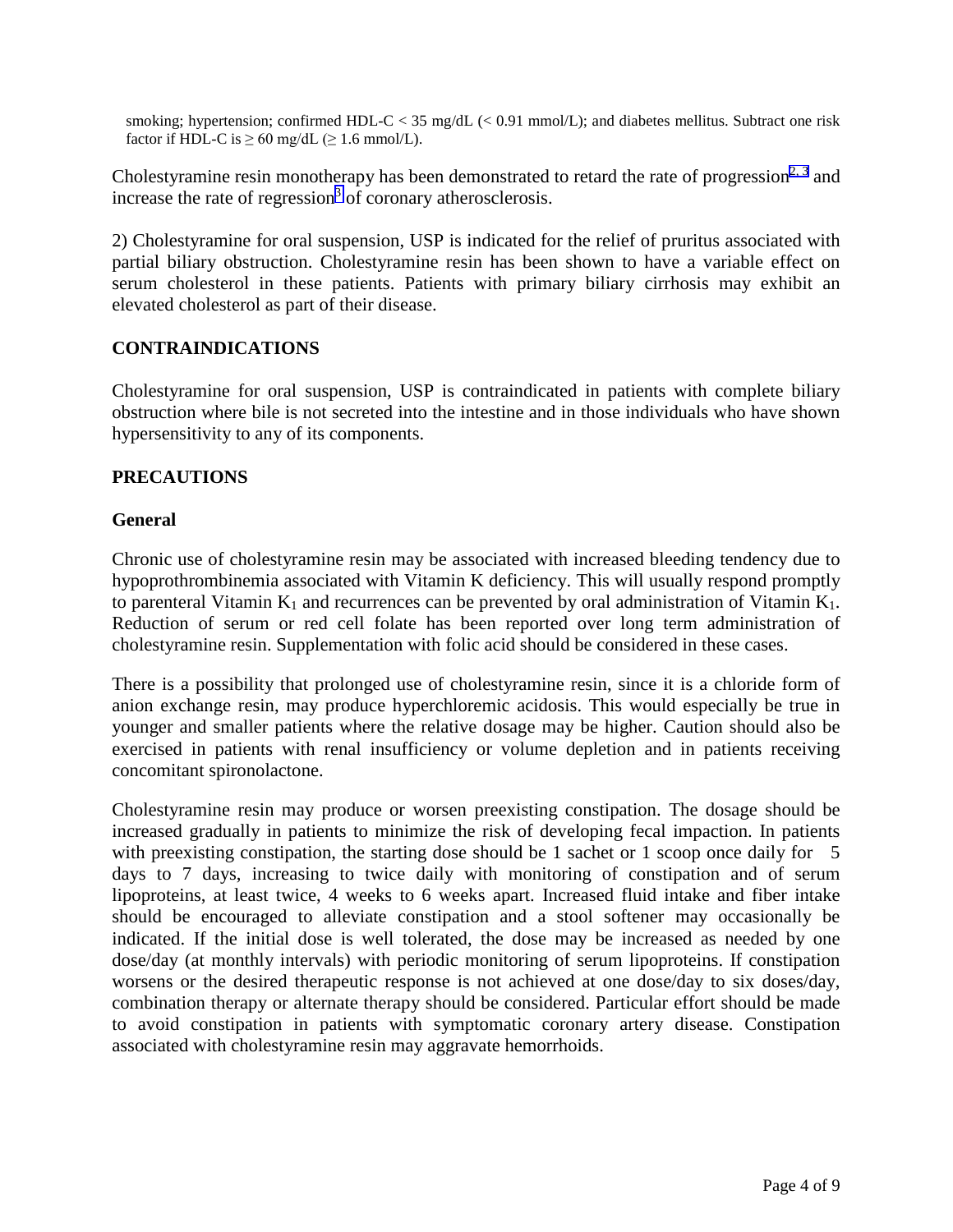<span id="page-3-0"></span>smoking; hypertension; confirmed HDL-C < 35 mg/dL (< 0.91 mmol/L); and diabetes mellitus. Subtract one risk factor if HDL-C is  $\geq 60$  mg/dL ( $\geq 1.6$  mmol/L).

Cholestyramine resin monotherapy has been demonstrated to retard the rate of progression<sup>[2, 3](#page-8-1)</sup> and increase the rate of regression<sup>[3](#page-8-0)</sup> of coronary atherosclerosis.

2) Cholestyramine for oral suspension, USP is indicated for the relief of pruritus associated with partial biliary obstruction. Cholestyramine resin has been shown to have a variable effect on serum cholesterol in these patients. Patients with primary biliary cirrhosis may exhibit an elevated cholesterol as part of their disease.

## **CONTRAINDICATIONS**

Cholestyramine for oral suspension, USP is contraindicated in patients with complete biliary obstruction where bile is not secreted into the intestine and in those individuals who have shown hypersensitivity to any of its components.

#### **PRECAUTIONS**

#### **General**

Chronic use of cholestyramine resin may be associated with increased bleeding tendency due to hypoprothrombinemia associated with Vitamin K deficiency. This will usually respond promptly to parenteral Vitamin  $K_1$  and recurrences can be prevented by oral administration of Vitamin  $K_1$ . Reduction of serum or red cell folate has been reported over long term administration of cholestyramine resin. Supplementation with folic acid should be considered in these cases.

There is a possibility that prolonged use of cholestyramine resin, since it is a chloride form of anion exchange resin, may produce hyperchloremic acidosis. This would especially be true in younger and smaller patients where the relative dosage may be higher. Caution should also be exercised in patients with renal insufficiency or volume depletion and in patients receiving concomitant spironolactone.

Cholestyramine resin may produce or worsen preexisting constipation. The dosage should be increased gradually in patients to minimize the risk of developing fecal impaction. In patients with preexisting constipation, the starting dose should be 1 sachet or 1 scoop once daily for 5 days to 7 days, increasing to twice daily with monitoring of constipation and of serum lipoproteins, at least twice, 4 weeks to 6 weeks apart. Increased fluid intake and fiber intake should be encouraged to alleviate constipation and a stool softener may occasionally be indicated. If the initial dose is well tolerated, the dose may be increased as needed by one dose/day (at monthly intervals) with periodic monitoring of serum lipoproteins. If constipation worsens or the desired therapeutic response is not achieved at one dose/day to six doses/day, combination therapy or alternate therapy should be considered. Particular effort should be made to avoid constipation in patients with symptomatic coronary artery disease. Constipation associated with cholestyramine resin may aggravate hemorrhoids.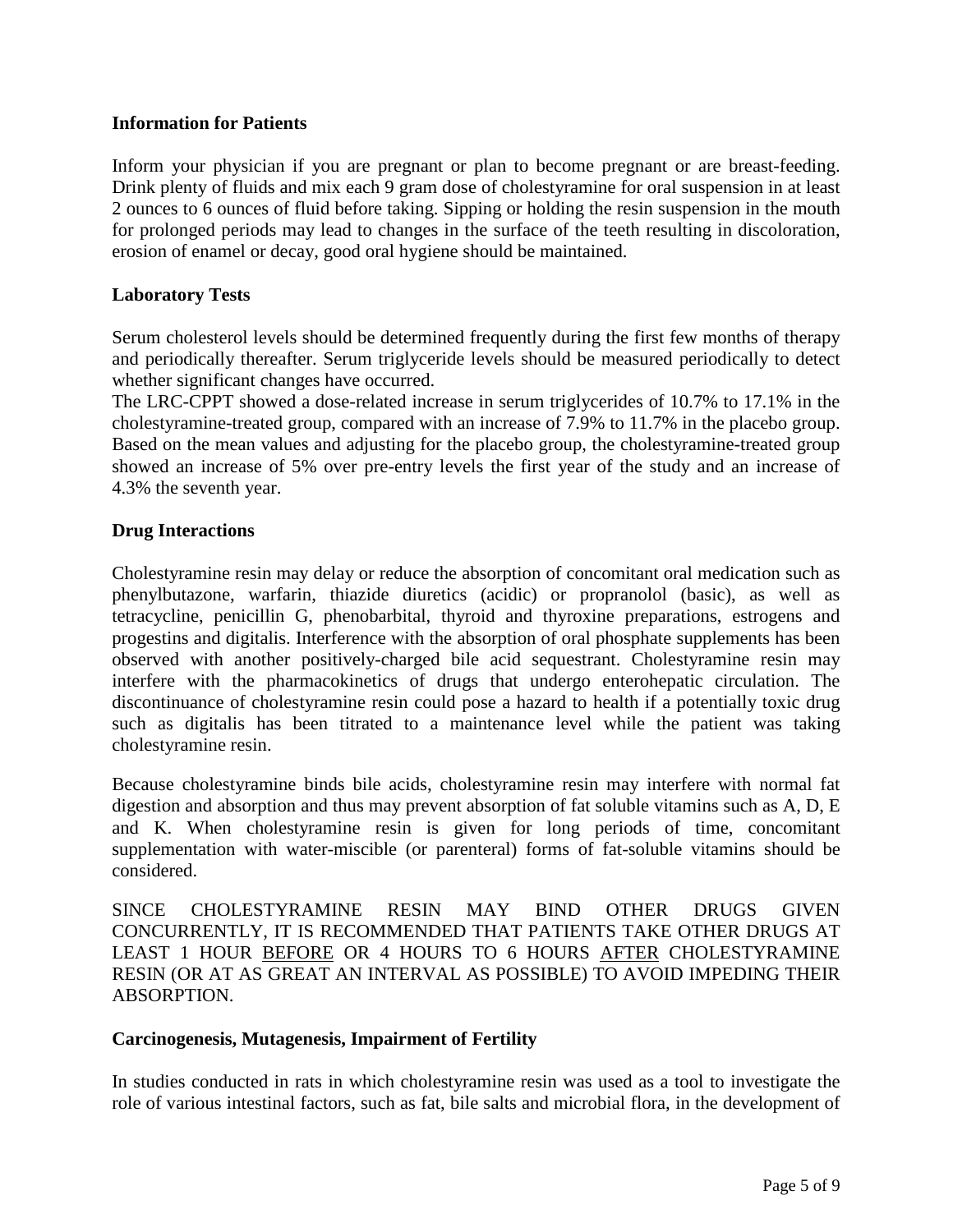### <span id="page-4-2"></span><span id="page-4-1"></span>**Information for Patients**

Inform your physician if you are pregnant or plan to become pregnant or are breast-feeding. Drink plenty of fluids and mix each 9 gram dose of cholestyramine for oral suspension in at least 2 ounces to 6 ounces of fluid before taking. Sipping or holding the resin suspension in the mouth for prolonged periods may lead to changes in the surface of the teeth resulting in discoloration, erosion of enamel or decay, good oral hygiene should be maintained.

### **Laboratory Tests**

<span id="page-4-0"></span>Serum cholesterol levels should be determined frequently during the first few months of therapy and periodically thereafter. Serum triglyceride levels should be measured periodically to detect whether significant changes have occurred.

The LRC-CPPT showed a dose-related increase in serum triglycerides of 10.7% to 17.1% in the cholestyramine-treated group, compared with an increase of 7.9% to 11.7% in the placebo group. Based on the mean values and adjusting for the placebo group, the cholestyramine-treated group showed an increase of 5% over pre-entry levels the first year of the study and an increase of 4.3% the seventh year.

## **Drug Interactions**

Cholestyramine resin may delay or reduce the absorption of concomitant oral medication such as phenylbutazone, warfarin, thiazide diuretics (acidic) or propranolol (basic), as well as tetracycline, penicillin G, phenobarbital, thyroid and thyroxine preparations, estrogens and progestins and digitalis. Interference with the absorption of oral phosphate supplements has been observed with another positively-charged bile acid sequestrant. Cholestyramine resin may interfere with the pharmacokinetics of drugs that undergo enterohepatic circulation. The discontinuance of cholestyramine resin could pose a hazard to health if a potentially toxic drug such as digitalis has been titrated to a maintenance level while the patient was taking cholestyramine resin.

Because cholestyramine binds bile acids, cholestyramine resin may interfere with normal fat digestion and absorption and thus may prevent absorption of fat soluble vitamins such as A, D, E and K. When cholestyramine resin is given for long periods of time, concomitant supplementation with water-miscible (or parenteral) forms of fat-soluble vitamins should be considered.

SINCE CHOLESTYRAMINE RESIN MAY BIND OTHER DRUGS GIVEN CONCURRENTLY, IT IS RECOMMENDED THAT PATIENTS TAKE OTHER DRUGS AT LEAST 1 HOUR BEFORE OR 4 HOURS TO 6 HOURS AFTER CHOLESTYRAMINE RESIN (OR AT AS GREAT AN INTERVAL AS POSSIBLE) TO AVOID IMPEDING THEIR ABSORPTION.

#### **Carcinogenesis, Mutagenesis, Impairment of Fertility**

In studies conducted in rats in which cholestyramine resin was used as a tool to investigate the role of various intestinal factors, such as fat, bile salts and microbial flora, in the development of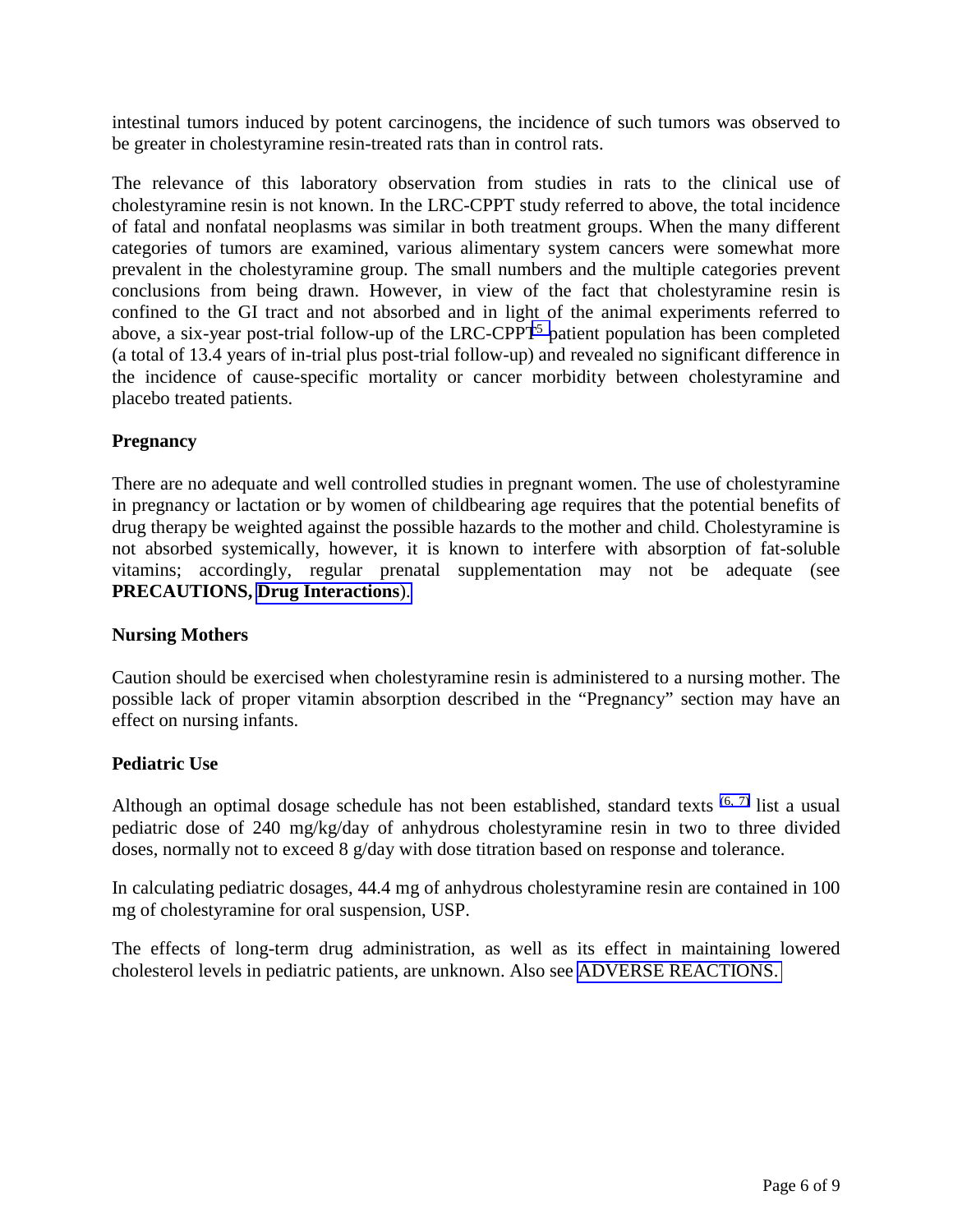intestinal tumors induced by potent carcinogens, the incidence of such tumors was observed to be greater in cholestyramine resin-treated rats than in control rats.

The relevance of this laboratory observation from studies in rats to the clinical use of cholestyramine resin is not known. In the LRC-CPPT study referred to above, the total incidence of fatal and nonfatal neoplasms was similar in both treatment groups. When the many different categories of tumors are examined, various alimentary system cancers were somewhat more prevalent in the cholestyramine group. The small numbers and the multiple categories prevent conclusions from being drawn. However, in view of the fact that cholestyramine resin is confined to the GI tract and not absorbed and in light of the animal experiments referred to above, a six-year post-trial follow-up of the LRC-CPPT<sup>5</sup> patient population has been completed (a total of 13.4 years of in-trial plus post-trial follow-up) and revealed no significant difference in the incidence of cause-specific mortality or cancer morbidity between cholestyramine and placebo treated patients.

# **Pregnancy**

There are no adequate and well controlled studies in pregnant women. The use of cholestyramine in pregnancy or lactation or by women of childbearing age requires that the potential benefits of drug therapy be weighted against the possible hazards to the mother and child. Cholestyramine is not absorbed systemically, however, it is known to interfere with absorption of fat-soluble vitamins; accordingly, regular prenatal supplementation may not be adequate (see **PRECAUTIONS, Drug [Interactions](#page-4-1)**).

#### **Nursing Mothers**

Caution should be exercised when cholestyramine resin is administered to a nursing mother. The possible lack of proper vitamin absorption described in the "Pregnancy" section may have an effect on nursing infants.

#### **Pediatric Use**

Although an optimal dosage schedule has not been established, standard texts <sup>[\(6, 7\)](#page-8-0)</sup> list a usual pediatric dose of 240 mg/kg/day of anhydrous cholestyramine resin in two to three divided doses, normally not to exceed 8 g/day with dose titration based on response and tolerance.

In calculating pediatric dosages, 44.4 mg of anhydrous cholestyramine resin are contained in 100 mg of cholestyramine for oral suspension, USP.

The effects of long-term drug administration, as well as its effect in maintaining lowered cholesterol levels in pediatric patients, are unknown. Also see [ADVERSE REACTIONS.](#page-6-0)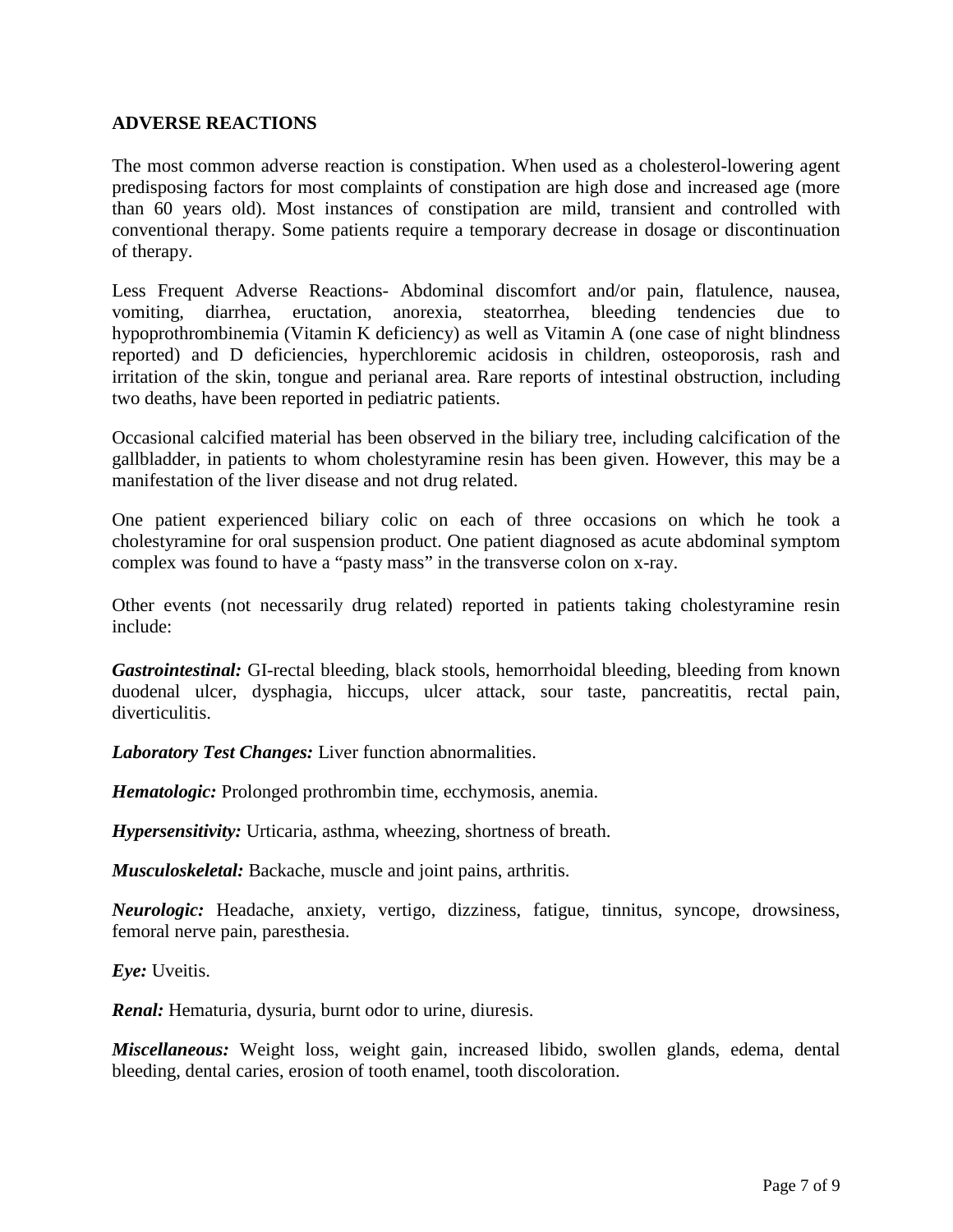### <span id="page-6-0"></span>**ADVERSE REACTIONS**

The most common adverse reaction is constipation. When used as a cholesterol-lowering agent predisposing factors for most complaints of constipation are high dose and increased age (more than 60 years old). Most instances of constipation are mild, transient and controlled with conventional therapy. Some patients require a temporary decrease in dosage or discontinuation of therapy.

Less Frequent Adverse Reactions- Abdominal discomfort and/or pain, flatulence, nausea, vomiting, diarrhea, eructation, anorexia, steatorrhea, bleeding tendencies due to hypoprothrombinemia (Vitamin K deficiency) as well as Vitamin A (one case of night blindness reported) and D deficiencies, hyperchloremic acidosis in children, osteoporosis, rash and irritation of the skin, tongue and perianal area. Rare reports of intestinal obstruction, including two deaths, have been reported in pediatric patients.

Occasional calcified material has been observed in the biliary tree, including calcification of the gallbladder, in patients to whom cholestyramine resin has been given. However, this may be a manifestation of the liver disease and not drug related.

One patient experienced biliary colic on each of three occasions on which he took a cholestyramine for oral suspension product. One patient diagnosed as acute abdominal symptom complex was found to have a "pasty mass" in the transverse colon on x-ray.

Other events (not necessarily drug related) reported in patients taking cholestyramine resin include:

*Gastrointestinal:* GI-rectal bleeding, black stools, hemorrhoidal bleeding, bleeding from known duodenal ulcer, dysphagia, hiccups, ulcer attack, sour taste, pancreatitis, rectal pain, diverticulitis.

*Laboratory Test Changes:* Liver function abnormalities.

*Hematologic:* Prolonged prothrombin time, ecchymosis, anemia.

*Hypersensitivity:* Urticaria, asthma, wheezing, shortness of breath.

*Musculoskeletal:* Backache, muscle and joint pains, arthritis.

*Neurologic:* Headache, anxiety, vertigo, dizziness, fatigue, tinnitus, syncope, drowsiness, femoral nerve pain, paresthesia.

*Eye:* Uveitis.

*Renal:* Hematuria, dysuria, burnt odor to urine, diuresis.

*Miscellaneous:* Weight loss, weight gain, increased libido, swollen glands, edema, dental bleeding, dental caries, erosion of tooth enamel, tooth discoloration.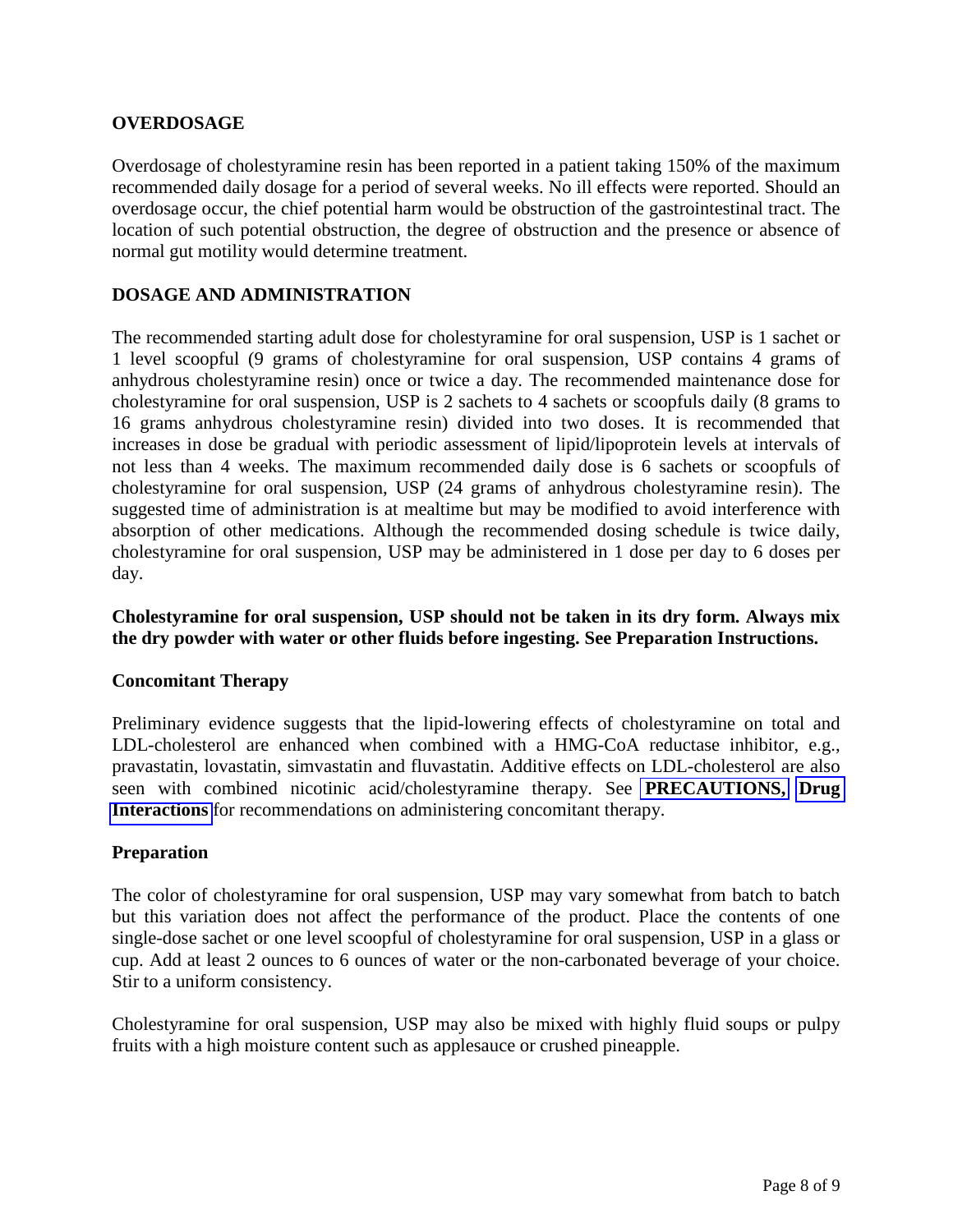## **OVERDOSAGE**

Overdosage of cholestyramine resin has been reported in a patient taking 150% of the maximum recommended daily dosage for a period of several weeks. No ill effects were reported. Should an overdosage occur, the chief potential harm would be obstruction of the gastrointestinal tract. The location of such potential obstruction, the degree of obstruction and the presence or absence of normal gut motility would determine treatment.

# **DOSAGE AND ADMINISTRATION**

The recommended starting adult dose for cholestyramine for oral suspension, USP is 1 sachet or 1 level scoopful (9 grams of cholestyramine for oral suspension, USP contains 4 grams of anhydrous cholestyramine resin) once or twice a day. The recommended maintenance dose for cholestyramine for oral suspension, USP is 2 sachets to 4 sachets or scoopfuls daily (8 grams to 16 grams anhydrous cholestyramine resin) divided into two doses. It is recommended that increases in dose be gradual with periodic assessment of lipid/lipoprotein levels at intervals of not less than 4 weeks. The maximum recommended daily dose is 6 sachets or scoopfuls of cholestyramine for oral suspension, USP (24 grams of anhydrous cholestyramine resin). The suggested time of administration is at mealtime but may be modified to avoid interference with absorption of other medications. Although the recommended dosing schedule is twice daily, cholestyramine for oral suspension, USP may be administered in 1 dose per day to 6 doses per day.

### **Cholestyramine for oral suspension, USP should not be taken in its dry form. Always mix the dry powder with water or other fluids before ingesting. See Preparation Instructions.**

#### **Concomitant Therapy**

Preliminary evidence suggests that the lipid-lowering effects of cholestyramine on total and LDL-cholesterol are enhanced when combined with a HMG-CoA reductase inhibitor, e.g., pravastatin, lovastatin, simvastatin and fluvastatin. Additive effects on LDL-cholesterol are also seen with combined nicotinic acid/cholestyramine therapy. See **[PRECAUTIONS,](#page-3-0) [Drug](#page-4-2)  [Interactions](#page-4-2)** for recommendations on administering concomitant therapy.

#### **Preparation**

The color of cholestyramine for oral suspension, USP may vary somewhat from batch to batch but this variation does not affect the performance of the product. Place the contents of one single-dose sachet or one level scoopful of cholestyramine for oral suspension, USP in a glass or cup. Add at least 2 ounces to 6 ounces of water or the non-carbonated beverage of your choice. Stir to a uniform consistency.

Cholestyramine for oral suspension, USP may also be mixed with highly fluid soups or pulpy fruits with a high moisture content such as applesauce or crushed pineapple.